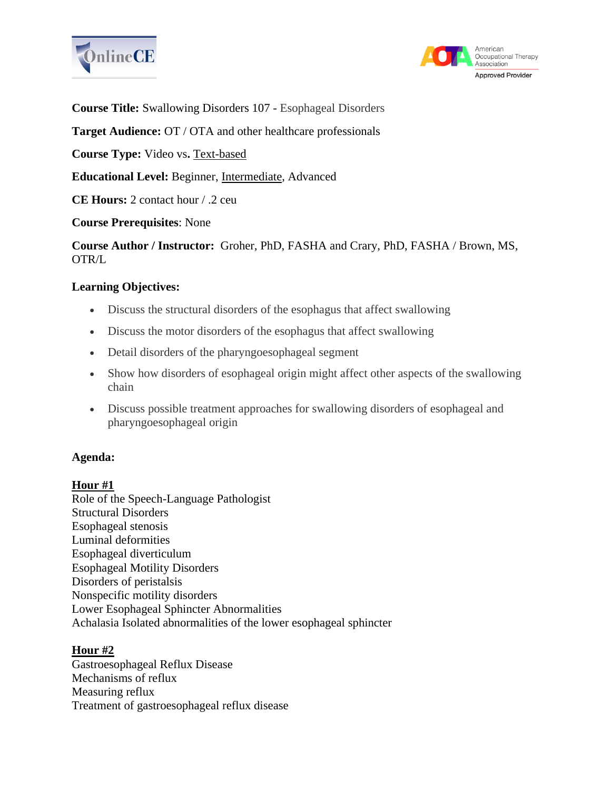



**Course Title:** Swallowing Disorders 107 - Esophageal Disorders

**Target Audience:** OT / OTA and other healthcare professionals

**Course Type:** Video vs**.** Text-based

**Educational Level:** Beginner, Intermediate, Advanced

**CE Hours:** 2 contact hour / .2 ceu

## **Course Prerequisites**: None

**Course Author / Instructor:** Groher, PhD, FASHA and Crary, PhD, FASHA / Brown, MS, OTR/L

## **Learning Objectives:**

- Discuss the structural disorders of the esophagus that affect swallowing
- Discuss the motor disorders of the esophagus that affect swallowing
- Detail disorders of the pharyngoesophageal segment
- Show how disorders of esophageal origin might affect other aspects of the swallowing chain
- Discuss possible treatment approaches for swallowing disorders of esophageal and pharyngoesophageal origin

#### **Agenda:**

#### **Hour #1**

Role of the Speech-Language Pathologist Structural Disorders Esophageal stenosis Luminal deformities Esophageal diverticulum Esophageal Motility Disorders Disorders of peristalsis Nonspecific motility disorders Lower Esophageal Sphincter Abnormalities Achalasia Isolated abnormalities of the lower esophageal sphincter

#### **Hour #2**

Gastroesophageal Reflux Disease Mechanisms of reflux Measuring reflux Treatment of gastroesophageal reflux disease